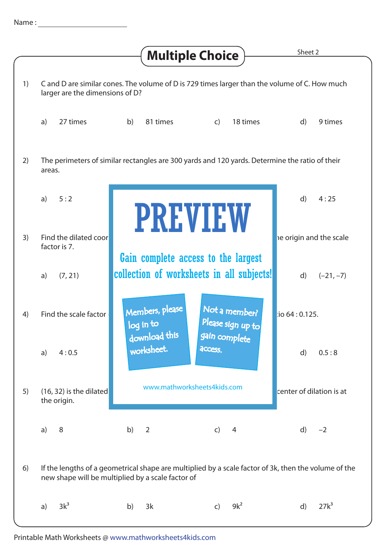